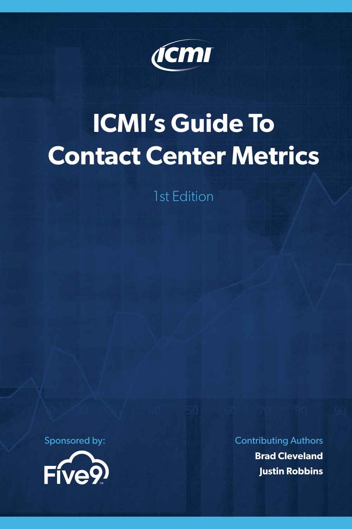

# **ICMI's Guide To Contact Center Metrics**

1st Edition



Sponsored by: Contributing Authors

**Brad Cleveland Justin Robbins**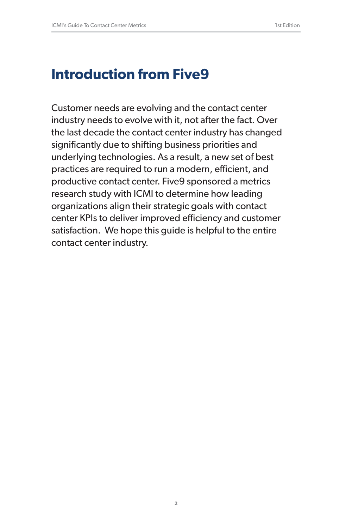### **Introduction from Five9**

Customer needs are evolving and the contact center industry needs to evolve with it, not after the fact. Over the last decade the contact center industry has changed significantly due to shifting business priorities and underlying technologies. As a result, a new set of best practices are required to run a modern, efficient, and productive contact center. Five9 sponsored a metrics research study with ICMI to determine how leading organizations align their strategic goals with contact center KPIs to deliver improved efficiency and customer satisfaction. We hope this guide is helpful to the entire contact center industry.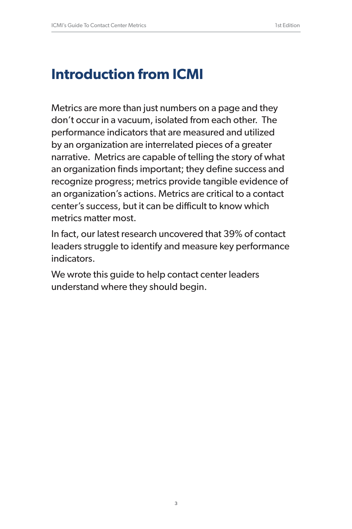### **Introduction from ICMI**

Metrics are more than just numbers on a page and they don't occur in a vacuum, isolated from each other. The performance indicators that are measured and utilized by an organization are interrelated pieces of a greater narrative. Metrics are capable of telling the story of what an organization finds important; they define success and recognize progress; metrics provide tangible evidence of an organization's actions. Metrics are critical to a contact center's success, but it can be difficult to know which metrics matter most.

In fact, our latest research uncovered that 39% of contact leaders struggle to identify and measure key performance indicators.

We wrote this guide to help contact center leaders understand where they should begin.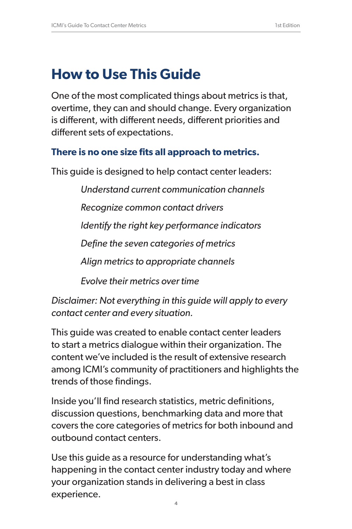# **How to Use This Guide**

One of the most complicated things about metrics is that, overtime, they can and should change. Every organization is different, with different needs, different priorities and different sets of expectations.

#### **There is no one size fits all approach to metrics.**

This guide is designed to help contact center leaders:

*Understand current communication channels*

*Recognize common contact drivers*

*Identify the right key performance indicators*

*Define the seven categories of metrics*

*Align metrics to appropriate channels*

*Evolve their metrics over time*

*Disclaimer: Not everything in this guide will apply to every contact center and every situation.* 

This guide was created to enable contact center leaders to start a metrics dialogue within their organization. The content we've included is the result of extensive research among ICMI's community of practitioners and highlights the trends of those findings.

Inside you'll find research statistics, metric definitions, discussion questions, benchmarking data and more that covers the core categories of metrics for both inbound and outbound contact centers.

Use this guide as a resource for understanding what's happening in the contact center industry today and where your organization stands in delivering a best in class experience.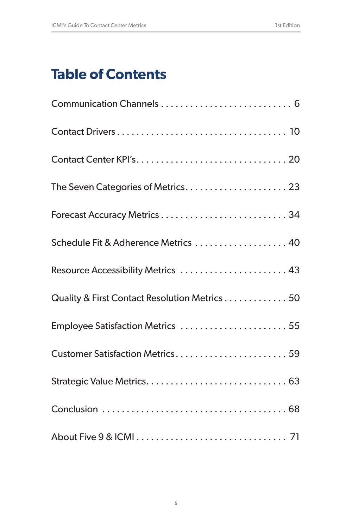### **Table of Contents**

| Schedule Fit & Adherence Metrics  40          |  |
|-----------------------------------------------|--|
| Resource Accessibility Metrics  43            |  |
| Quality & First Contact Resolution Metrics 50 |  |
| Employee Satisfaction Metrics  55             |  |
| Customer Satisfaction Metrics 59              |  |
|                                               |  |
|                                               |  |
|                                               |  |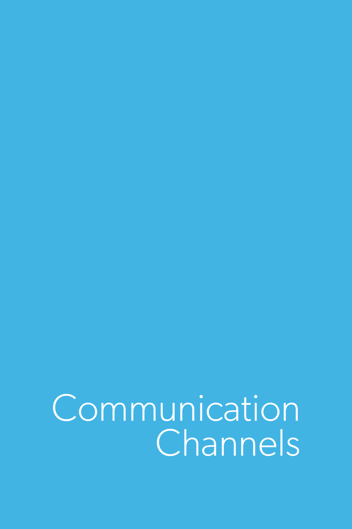**Communication Channels**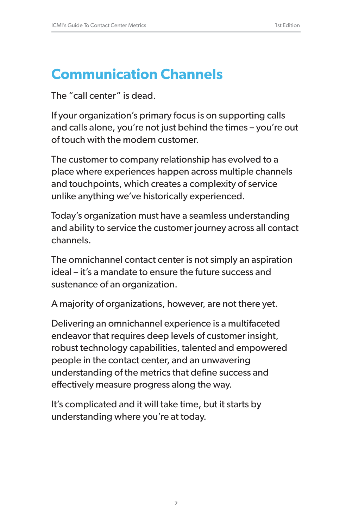### **Communication Channels**

The "call center" is dead.

If your organization's primary focus is on supporting calls and calls alone, you're not just behind the times – you're out of touch with the modern customer.

The customer to company relationship has evolved to a place where experiences happen across multiple channels and touchpoints, which creates a complexity of service unlike anything we've historically experienced.

Today's organization must have a seamless understanding and ability to service the customer journey across all contact channels.

The omnichannel contact center is not simply an aspiration ideal – it's a mandate to ensure the future success and sustenance of an organization.

A majority of organizations, however, are not there yet.

Delivering an omnichannel experience is a multifaceted endeavor that requires deep levels of customer insight, robust technology capabilities, talented and empowered people in the contact center, and an unwavering understanding of the metrics that define success and effectively measure progress along the way.

It's complicated and it will take time, but it starts by understanding where you're at today.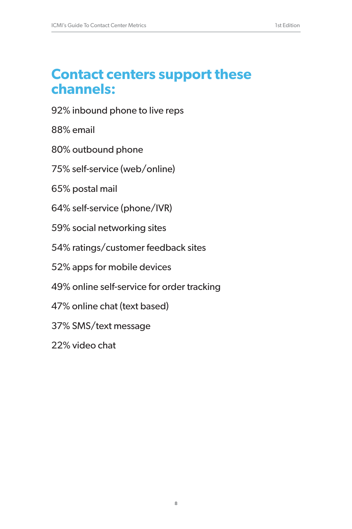### **Contact centers support these channels:**

92% inbound phone to live reps

88% email

80% outbound phone

75% self-service (web/online)

65% postal mail

64% self-service (phone/IVR)

59% social networking sites

54% ratings/customer feedback sites

52% apps for mobile devices

49% online self-service for order tracking

47% online chat (text based)

37% SMS/text message

22% video chat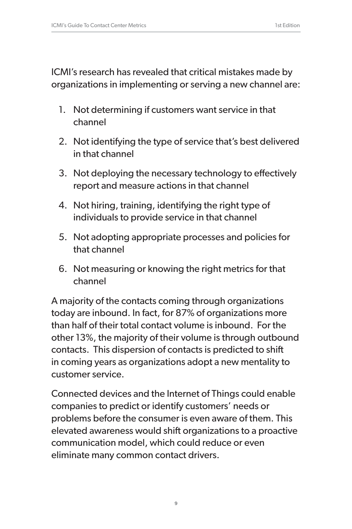ICMI's research has revealed that critical mistakes made by organizations in implementing or serving a new channel are:

- 1. Not determining if customers want service in that channel
- 2. Not identifying the type of service that's best delivered in that channel
- 3. Not deploying the necessary technology to effectively report and measure actions in that channel
- 4. Not hiring, training, identifying the right type of individuals to provide service in that channel
- 5. Not adopting appropriate processes and policies for that channel
- 6. Not measuring or knowing the right metrics for that channel

A majority of the contacts coming through organizations today are inbound. In fact, for 87% of organizations more than half of their total contact volume is inbound. For the other 13%, the majority of their volume is through outbound contacts. This dispersion of contacts is predicted to shift in coming years as organizations adopt a new mentality to customer service.

Connected devices and the Internet of Things could enable companies to predict or identify customers' needs or problems before the consumer is even aware of them. This elevated awareness would shift organizations to a proactive communication model, which could reduce or even eliminate many common contact drivers.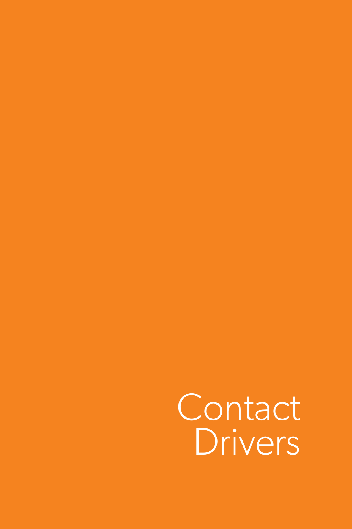Contact Drivers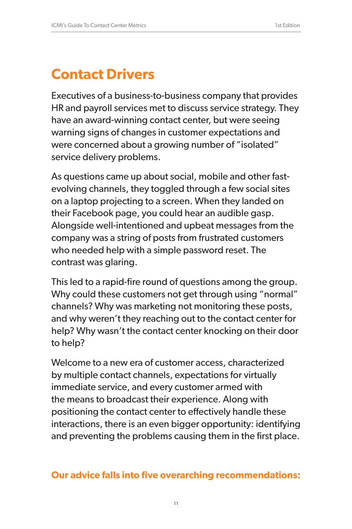# **Contact Drivers**

Executives of a business-to-business company that provides HR and payroll services met to discuss service strategy. They have an award-winning contact center, but were seeing warning signs of changes in customer expectations and were concerned about a growing number of "isolated" service delivery problems.

As questions came up about social, mobile and other fastevolving channels, they toggled through a few social sites on a laptop projecting to a screen. When they landed on their Facebook page, you could hear an audible gasp. Alongside well-intentioned and upbeat messages from the company was a string of posts from frustrated customers who needed help with a simple password reset. The contrast was glaring.

This led to a rapid-fire round of questions among the group. Why could these customers not get through using "normal" channels? Why was marketing not monitoring these posts, and why weren't they reaching out to the contact center for help? Why wasn't the contact center knocking on their door to help?

Welcome to a new era of customer access, characterized by multiple contact channels, expectations for virtually immediate service, and every customer armed with the means to broadcast their experience. Along with positioning the contact center to effectively handle these interactions, there is an even bigger opportunity: identifying and preventing the problems causing them in the first place.

#### **Our advice falls into five overarching recommendations:**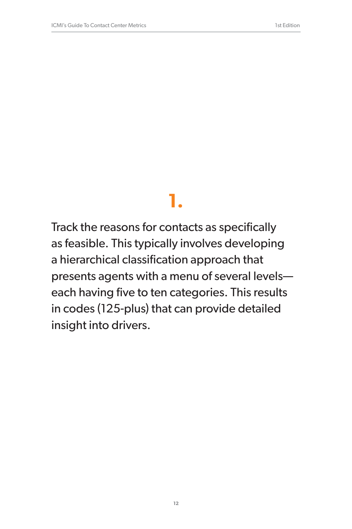Track the reasons for contacts as specifically as feasible. This typically involves developing a hierarchical classification approach that presents agents with a menu of several levels each having five to ten categories. This results in codes (125-plus) that can provide detailed insight into drivers.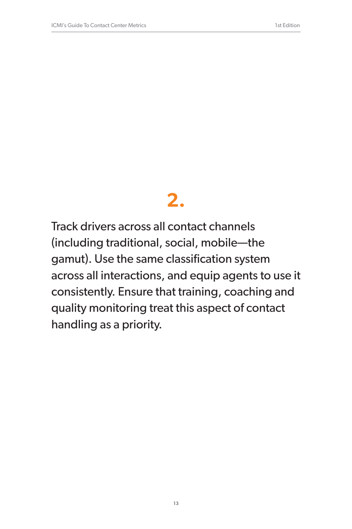Track drivers across all contact channels (including traditional, social, mobile—the gamut). Use the same classification system across all interactions, and equip agents to use it consistently. Ensure that training, coaching and quality monitoring treat this aspect of contact handling as a priority.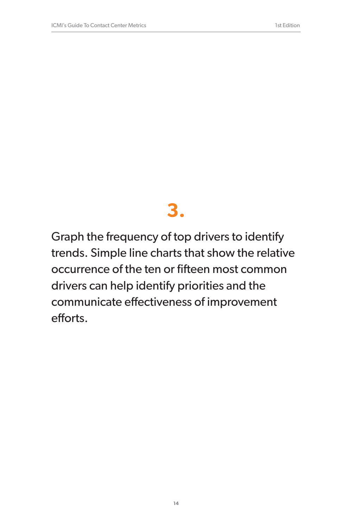Graph the frequency of top drivers to identify trends. Simple line charts that show the relative occurrence of the ten or fifteen most common drivers can help identify priorities and the communicate effectiveness of improvement efforts.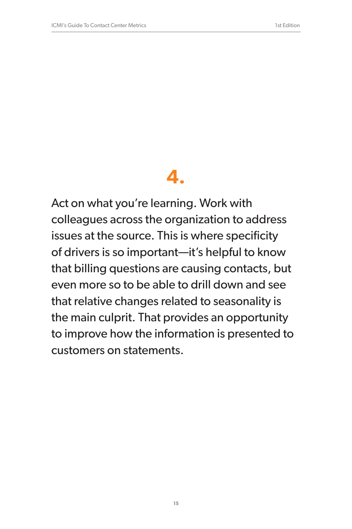Act on what you're learning. Work with colleagues across the organization to address issues at the source. This is where specificity of drivers is so important—it's helpful to know that billing questions are causing contacts, but even more so to be able to drill down and see that relative changes related to seasonality is the main culprit. That provides an opportunity to improve how the information is presented to customers on statements.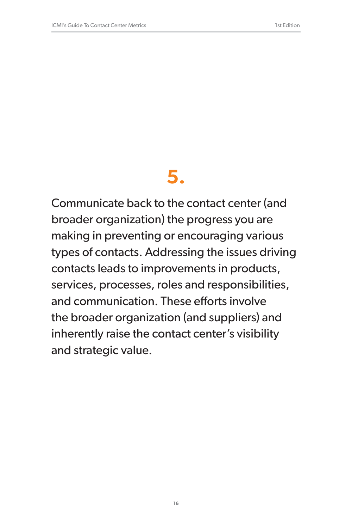Communicate back to the contact center (and broader organization) the progress you are making in preventing or encouraging various types of contacts. Addressing the issues driving contacts leads to improvements in products, services, processes, roles and responsibilities, and communication. These efforts involve the broader organization (and suppliers) and inherently raise the contact center's visibility and strategic value.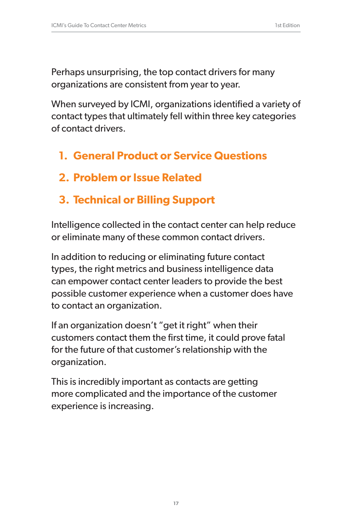Perhaps unsurprising, the top contact drivers for many organizations are consistent from year to year.

When surveyed by ICMI, organizations identified a variety of contact types that ultimately fell within three key categories of contact drivers.

- **1. General Product or Service Questions**
- **2. Problem or Issue Related**
- **3. Technical or Billing Support**

Intelligence collected in the contact center can help reduce or eliminate many of these common contact drivers.

In addition to reducing or eliminating future contact types, the right metrics and business intelligence data can empower contact center leaders to provide the best possible customer experience when a customer does have to contact an organization.

If an organization doesn't "get it right" when their customers contact them the first time, it could prove fatal for the future of that customer's relationship with the organization.

This is incredibly important as contacts are getting more complicated and the importance of the customer experience is increasing.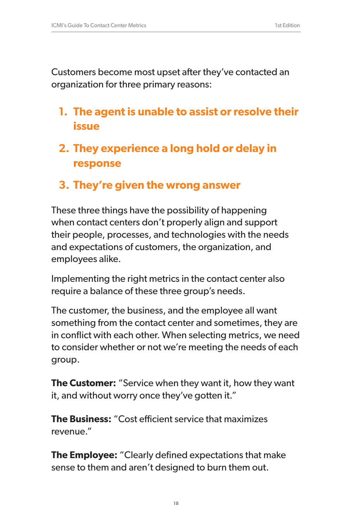Customers become most upset after they've contacted an organization for three primary reasons:

- **1. The agent is unable to assist or resolve their issue**
- **2. They experience a long hold or delay in response**
- **3. They're given the wrong answer**

These three things have the possibility of happening when contact centers don't properly align and support their people, processes, and technologies with the needs and expectations of customers, the organization, and employees alike.

Implementing the right metrics in the contact center also require a balance of these three group's needs.

The customer, the business, and the employee all want something from the contact center and sometimes, they are in conflict with each other. When selecting metrics, we need to consider whether or not we're meeting the needs of each group.

**The Customer:** "Service when they want it, how they want it, and without worry once they've gotten it."

**The Business:** "Cost efficient service that maximizes revenue."

**The Employee:** "Clearly defined expectations that make sense to them and aren't designed to burn them out.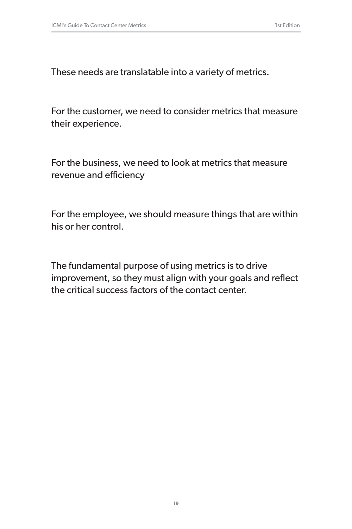These needs are translatable into a variety of metrics.

For the customer, we need to consider metrics that measure their experience.

For the business, we need to look at metrics that measure revenue and efficiency

For the employee, we should measure things that are within his or her control.

The fundamental purpose of using metrics is to drive improvement, so they must align with your goals and reflect the critical success factors of the contact center.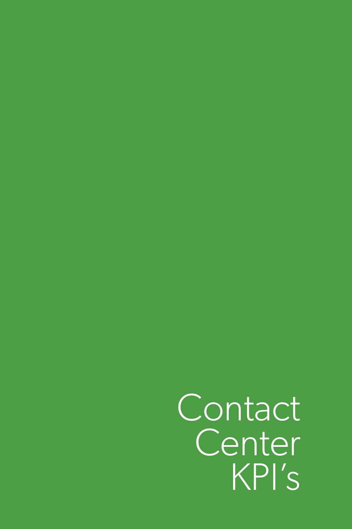Contact Center KPI's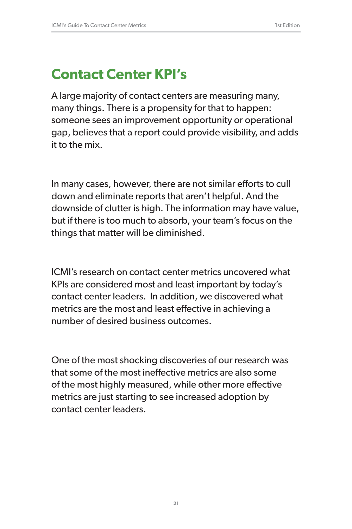# **Contact Center KPI's**

A large majority of contact centers are measuring many, many things. There is a propensity for that to happen: someone sees an improvement opportunity or operational gap, believes that a report could provide visibility, and adds it to the mix.

In many cases, however, there are not similar efforts to cull down and eliminate reports that aren't helpful. And the downside of clutter is high. The information may have value, but if there is too much to absorb, your team's focus on the things that matter will be diminished.

ICMI's research on contact center metrics uncovered what KPIs are considered most and least important by today's contact center leaders. In addition, we discovered what metrics are the most and least effective in achieving a number of desired business outcomes.

One of the most shocking discoveries of our research was that some of the most ineffective metrics are also some of the most highly measured, while other more effective metrics are just starting to see increased adoption by contact center leaders.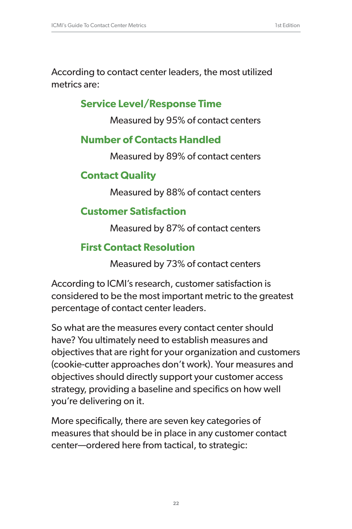According to contact center leaders, the most utilized metrics are:

#### **Service Level/Response Time**

Measured by 95% of contact centers

#### **Number of Contacts Handled**

Measured by 89% of contact centers

#### **Contact Quality**

Measured by 88% of contact centers

#### **Customer Satisfaction**

Measured by 87% of contact centers

#### **First Contact Resolution**

Measured by 73% of contact centers

According to ICMI's research, customer satisfaction is considered to be the most important metric to the greatest percentage of contact center leaders.

So what are the measures every contact center should have? You ultimately need to establish measures and objectives that are right for your organization and customers (cookie-cutter approaches don't work). Your measures and objectives should directly support your customer access strategy, providing a baseline and specifics on how well you're delivering on it.

More specifically, there are seven key categories of measures that should be in place in any customer contact center—ordered here from tactical, to strategic: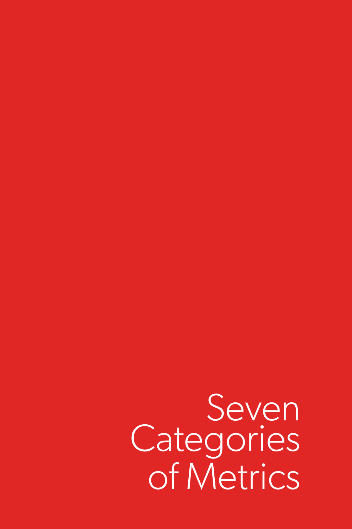Seven **Categories** of Metrics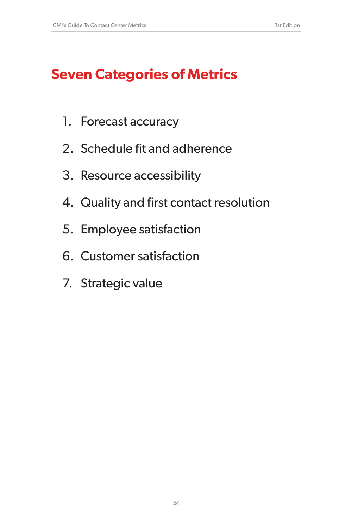# **Seven Categories of Metrics**

- 1. Forecast accuracy
- 2. Schedule fit and adherence
- 3. Resource accessibility
- 4. Quality and first contact resolution
- 5. Employee satisfaction
- 6. Customer satisfaction
- 7. Strategic value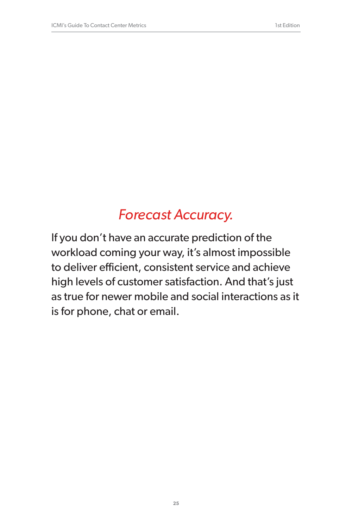# *Forecast Accuracy.*

If you don't have an accurate prediction of the workload coming your way, it's almost impossible to deliver efficient, consistent service and achieve high levels of customer satisfaction. And that's just as true for newer mobile and social interactions as it is for phone, chat or email.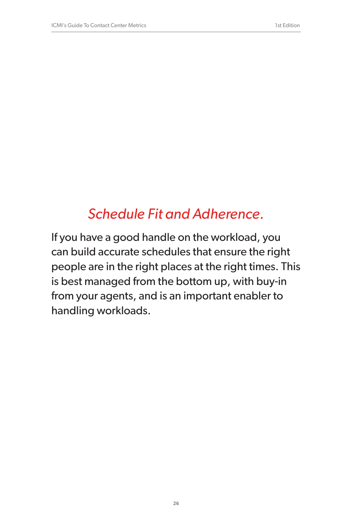# *Schedule Fit and Adherence.*

If you have a good handle on the workload, you can build accurate schedules that ensure the right people are in the right places at the right times. This is best managed from the bottom up, with buy-in from your agents, and is an important enabler to handling workloads.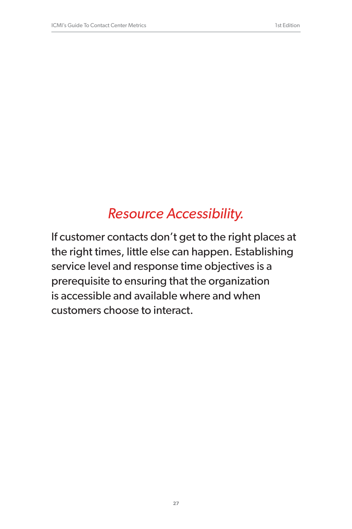# *Resource Accessibility.*

If customer contacts don't get to the right places at the right times, little else can happen. Establishing service level and response time objectives is a prerequisite to ensuring that the organization is accessible and available where and when customers choose to interact.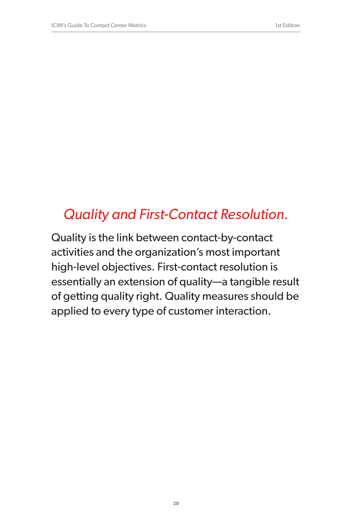### *Quality and First-Contact Resolution.*

Quality is the link between contact-by-contact activities and the organization's most important high-level objectives. First-contact resolution is essentially an extension of quality—a tangible result of getting quality right. Quality measures should be applied to every type of customer interaction.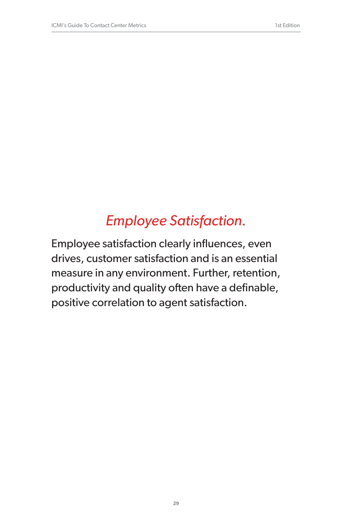# *Employee Satisfaction.*

Employee satisfaction clearly influences, even drives, customer satisfaction and is an essential measure in any environment. Further, retention, productivity and quality often have a definable, positive correlation to agent satisfaction.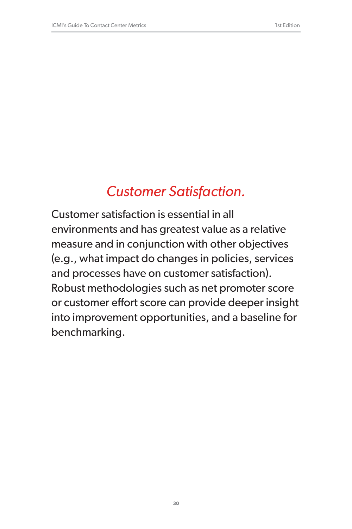# *Customer Satisfaction.*

Customer satisfaction is essential in all environments and has greatest value as a relative measure and in conjunction with other objectives (e.g., what impact do changes in policies, services and processes have on customer satisfaction). Robust methodologies such as net promoter score or customer effort score can provide deeper insight into improvement opportunities, and a baseline for benchmarking.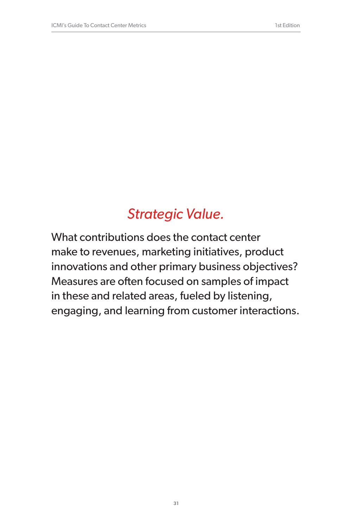### *Strategic Value.*

What contributions does the contact center make to revenues, marketing initiatives, product innovations and other primary business objectives? Measures are often focused on samples of impact in these and related areas, fueled by listening, engaging, and learning from customer interactions.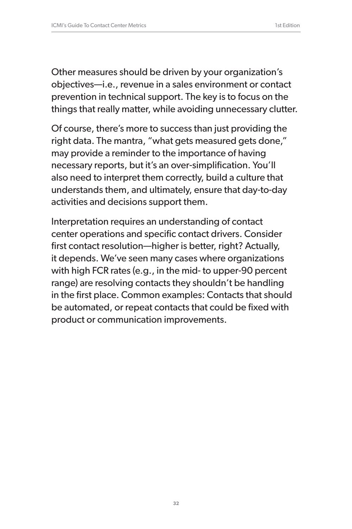Other measures should be driven by your organization's objectives—i.e., revenue in a sales environment or contact prevention in technical support. The key is to focus on the things that really matter, while avoiding unnecessary clutter.

Of course, there's more to success than just providing the right data. The mantra, "what gets measured gets done," may provide a reminder to the importance of having necessary reports, but it's an over-simplification. You'll also need to interpret them correctly, build a culture that understands them, and ultimately, ensure that day-to-day activities and decisions support them.

Interpretation requires an understanding of contact center operations and specific contact drivers. Consider first contact resolution—higher is better, right? Actually, it depends. We've seen many cases where organizations with high FCR rates (e.g., in the mid- to upper-90 percent range) are resolving contacts they shouldn't be handling in the first place. Common examples: Contacts that should be automated, or repeat contacts that could be fixed with product or communication improvements.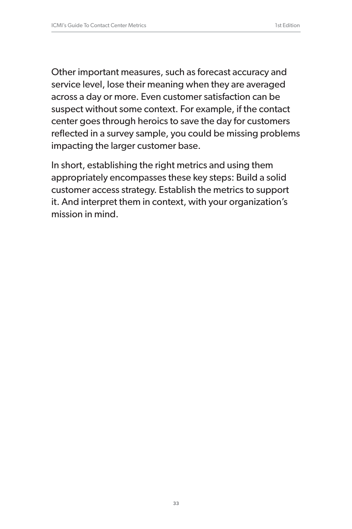Other important measures, such as forecast accuracy and service level, lose their meaning when they are averaged across a day or more. Even customer satisfaction can be suspect without some context. For example, if the contact center goes through heroics to save the day for customers reflected in a survey sample, you could be missing problems impacting the larger customer base.

In short, establishing the right metrics and using them appropriately encompasses these key steps: Build a solid customer access strategy. Establish the metrics to support it. And interpret them in context, with your organization's mission in mind.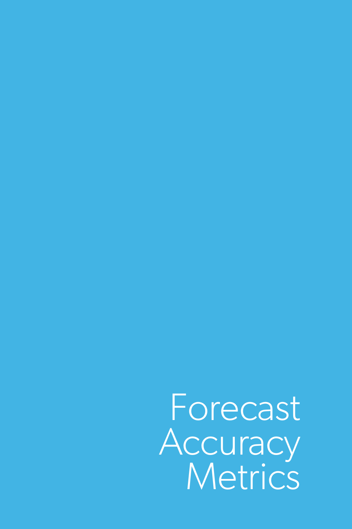Forecast **Accuracy** Metrics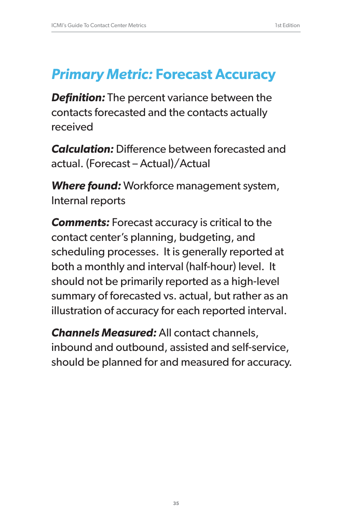### *Primary Metric:* **Forecast Accuracy**

*Definition:* The percent variance between the contacts forecasted and the contacts actually received

*Calculation:* Difference between forecasted and actual. (Forecast – Actual)/Actual

*Where found:* Workforce management system, Internal reports

*Comments:* Forecast accuracy is critical to the contact center's planning, budgeting, and scheduling processes. It is generally reported at both a monthly and interval (half-hour) level. It should not be primarily reported as a high-level summary of forecasted vs. actual, but rather as an illustration of accuracy for each reported interval.

*Channels Measured:* All contact channels, inbound and outbound, assisted and self-service, should be planned for and measured for accuracy.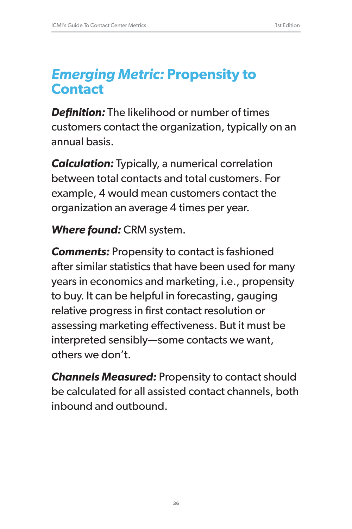### *Emerging Metric:* **Propensity to Contact**

*Definition:* The likelihood or number of times customers contact the organization, typically on an annual basis.

*Calculation:* Typically, a numerical correlation between total contacts and total customers. For example, 4 would mean customers contact the organization an average 4 times per year.

### *Where found:* CRM system.

*Comments:* Propensity to contact is fashioned after similar statistics that have been used for many years in economics and marketing, i.e., propensity to buy. It can be helpful in forecasting, gauging relative progress in first contact resolution or assessing marketing effectiveness. But it must be interpreted sensibly—some contacts we want, others we don't.

*Channels Measured:* Propensity to contact should be calculated for all assisted contact channels, both inbound and outbound.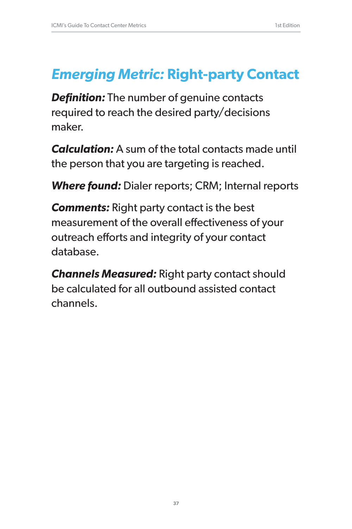# *Emerging Metric:* **Right-party Contact**

**Definition:** The number of genuine contacts required to reach the desired party/decisions maker.

*Calculation:* A sum of the total contacts made until the person that you are targeting is reached.

*Where found:* Dialer reports; CRM; Internal reports

*Comments:* Right party contact is the best measurement of the overall effectiveness of your outreach efforts and integrity of your contact database.

*Channels Measured:* Right party contact should be calculated for all outbound assisted contact channels.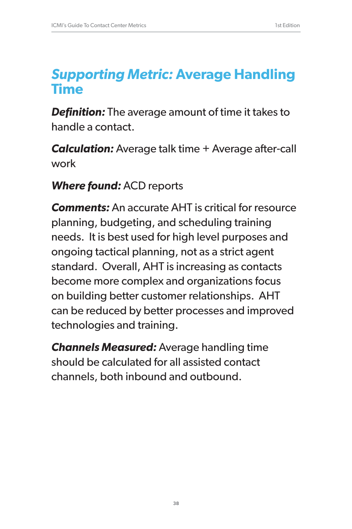## *Supporting Metric:* **Average Handling Time**

*Definition:* The average amount of time it takes to handle a contact.

*Calculation:* Average talk time + Average after-call work

### *Where found:* ACD reports

*Comments:* An accurate AHT is critical for resource planning, budgeting, and scheduling training needs. It is best used for high level purposes and ongoing tactical planning, not as a strict agent standard. Overall, AHT is increasing as contacts become more complex and organizations focus on building better customer relationships. AHT can be reduced by better processes and improved technologies and training.

*Channels Measured:* Average handling time should be calculated for all assisted contact channels, both inbound and outbound.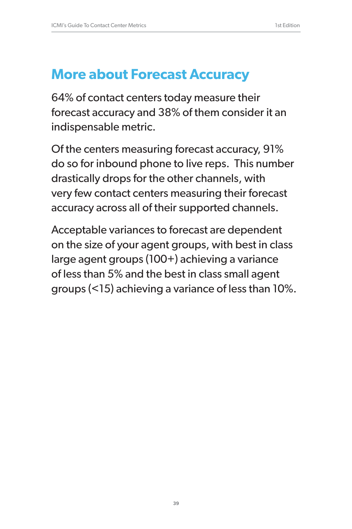### **More about Forecast Accuracy**

64% of contact centers today measure their forecast accuracy and 38% of them consider it an indispensable metric.

Of the centers measuring forecast accuracy, 91% do so for inbound phone to live reps. This number drastically drops for the other channels, with very few contact centers measuring their forecast accuracy across all of their supported channels.

Acceptable variances to forecast are dependent on the size of your agent groups, with best in class large agent groups (100+) achieving a variance of less than 5% and the best in class small agent groups (<15) achieving a variance of less than 10%.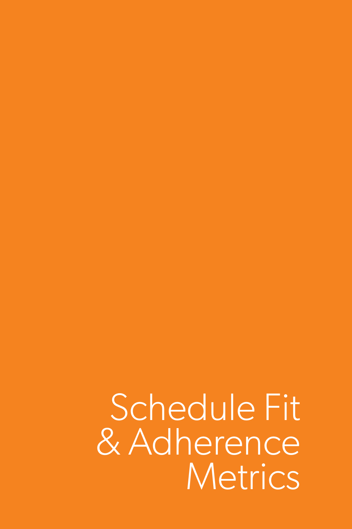Schedule Fit & Adherence **Metrics**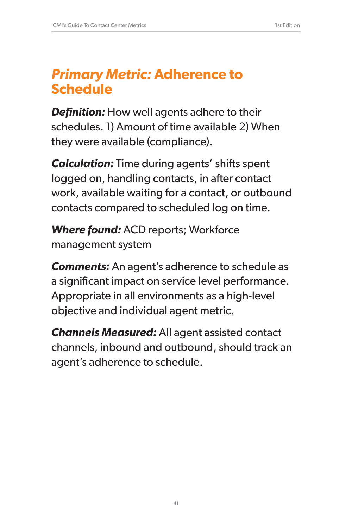## *Primary Metric:* **Adherence to Schedule**

**Definition:** How well agents adhere to their schedules. 1) Amount of time available 2) When they were available (compliance).

*Calculation:* Time during agents' shifts spent logged on, handling contacts, in after contact work, available waiting for a contact, or outbound contacts compared to scheduled log on time.

*Where found:* ACD reports; Workforce management system

*Comments:* An agent's adherence to schedule as a significant impact on service level performance. Appropriate in all environments as a high-level objective and individual agent metric.

*Channels Measured:* All agent assisted contact channels, inbound and outbound, should track an agent's adherence to schedule.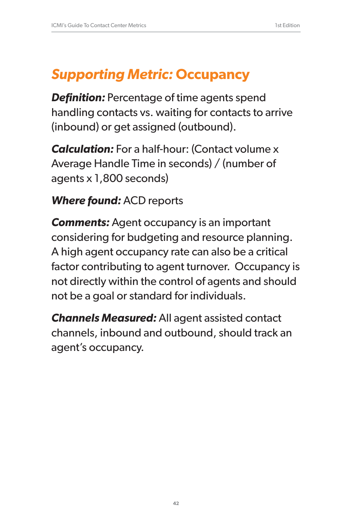# *Supporting Metric:* **Occupancy**

*Definition:* Percentage of time agents spend handling contacts vs. waiting for contacts to arrive (inbound) or get assigned (outbound).

*Calculation:* For a half-hour: (Contact volume x Average Handle Time in seconds) / (number of agents x 1,800 seconds)

### *Where found:* ACD reports

*Comments:* Agent occupancy is an important considering for budgeting and resource planning. A high agent occupancy rate can also be a critical factor contributing to agent turnover. Occupancy is not directly within the control of agents and should not be a goal or standard for individuals.

*Channels Measured:* All agent assisted contact channels, inbound and outbound, should track an agent's occupancy.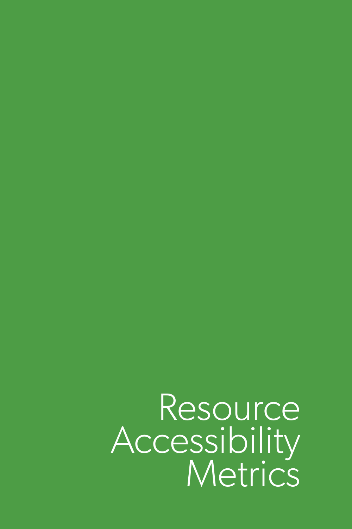Resource Accessibility<br>Metrics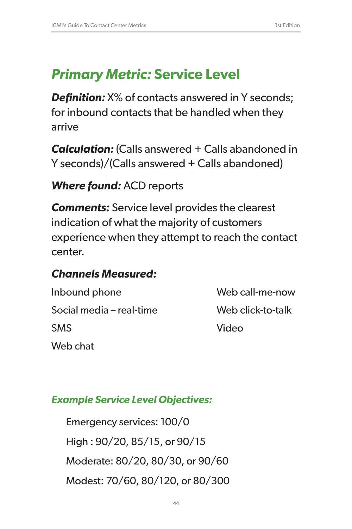# *Primary Metric:* **Service Level**

**Definition:**  $X\%$  of contacts answered in Y seconds; for inbound contacts that be handled when they arrive

*Calculation:* (Calls answered + Calls abandoned in Y seconds)/(Calls answered + Calls abandoned)

### *Where found:* ACD reports

*Comments:* Service level provides the clearest indication of what the majority of customers experience when they attempt to reach the contact center.

#### *Channels Measured:*

Inbound phone Web call-me-now Social media – real-time Web click-to-talk SMS Video Web chat

#### *Example Service Level Objectives:*

Emergency services: 100/0 High : 90/20, 85/15, or 90/15 Moderate: 80/20, 80/30, or 90/60 Modest: 70/60, 80/120, or 80/300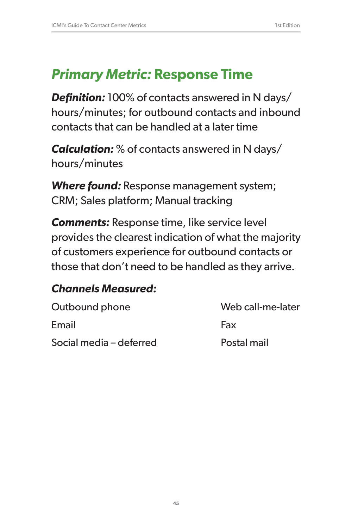# *Primary Metric:* **Response Time**

*Definition:* 100% of contacts answered in N days/ hours/minutes; for outbound contacts and inbound contacts that can be handled at a later time

*Calculation:* % of contacts answered in N days/ hours/minutes

*Where found:* Response management system; CRM; Sales platform; Manual tracking

*Comments:* Response time, like service level provides the clearest indication of what the majority of customers experience for outbound contacts or those that don't need to be handled as they arrive.

#### *Channels Measured:*

| Outbound phone          | Web call-me-later |
|-------------------------|-------------------|
| Email                   | Fax               |
| Social media – deferred | Postal mail       |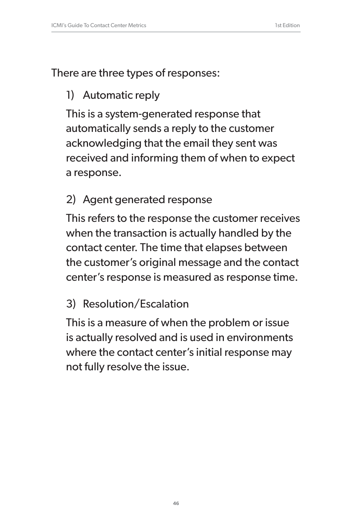There are three types of responses:

### 1) Automatic reply

This is a system-generated response that automatically sends a reply to the customer acknowledging that the email they sent was received and informing them of when to expect a response.

#### 2) Agent generated response

This refers to the response the customer receives when the transaction is actually handled by the contact center. The time that elapses between the customer's original message and the contact center's response is measured as response time.

#### 3) Resolution/Escalation

This is a measure of when the problem or issue is actually resolved and is used in environments where the contact center's initial response may not fully resolve the issue.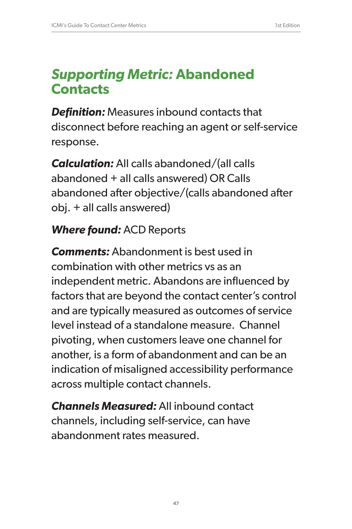## *Supporting Metric:* **Abandoned Contacts**

*Definition:* Measures inbound contacts that disconnect before reaching an agent or self-service response.

*Calculation:* All calls abandoned/(all calls abandoned + all calls answered) OR Calls abandoned after objective/(calls abandoned after obj. + all calls answered)

### *Where found:* ACD Reports

*Comments:* Abandonment is best used in combination with other metrics vs as an independent metric. Abandons are influenced by factors that are beyond the contact center's control and are typically measured as outcomes of service level instead of a standalone measure. Channel pivoting, when customers leave one channel for another, is a form of abandonment and can be an indication of misaligned accessibility performance across multiple contact channels.

*Channels Measured:* All inbound contact channels, including self-service, can have abandonment rates measured.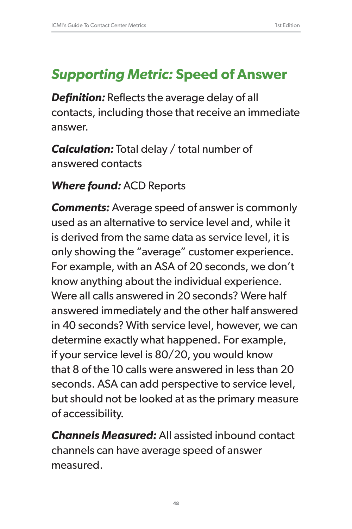## *Supporting Metric:* **Speed of Answer**

*Definition:* Reflects the average delay of all contacts, including those that receive an immediate answer.

*Calculation:* Total delay / total number of answered contacts

#### *Where found:* ACD Reports

*Comments:* Average speed of answer is commonly used as an alternative to service level and, while it is derived from the same data as service level, it is only showing the "average" customer experience. For example, with an ASA of 20 seconds, we don't know anything about the individual experience. Were all calls answered in 20 seconds? Were half answered immediately and the other half answered in 40 seconds? With service level, however, we can determine exactly what happened. For example, if your service level is 80/20, you would know that 8 of the 10 calls were answered in less than 20 seconds. ASA can add perspective to service level, but should not be looked at as the primary measure of accessibility.

*Channels Measured:* All assisted inbound contact channels can have average speed of answer measured.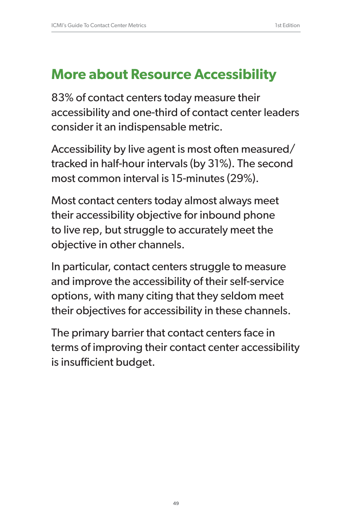## **More about Resource Accessibility**

83% of contact centers today measure their accessibility and one-third of contact center leaders consider it an indispensable metric.

Accessibility by live agent is most often measured/ tracked in half-hour intervals (by 31%). The second most common interval is 15-minutes (29%).

Most contact centers today almost always meet their accessibility objective for inbound phone to live rep, but struggle to accurately meet the objective in other channels.

In particular, contact centers struggle to measure and improve the accessibility of their self-service options, with many citing that they seldom meet their objectives for accessibility in these channels.

The primary barrier that contact centers face in terms of improving their contact center accessibility is insufficient budget.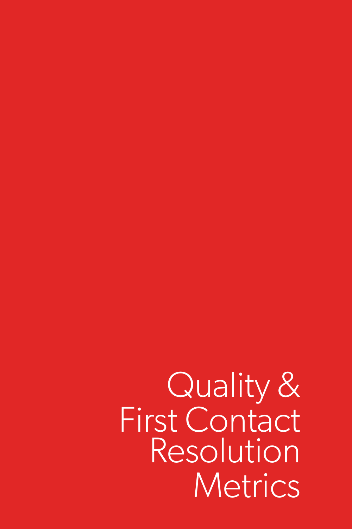Quality & First Contact Resolution **Metrics**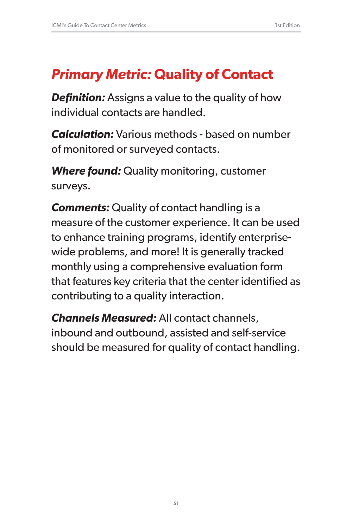# *Primary Metric:* **Quality of Contact**

*Definition:* Assigns a value to the quality of how individual contacts are handled.

*Calculation:* Various methods - based on number of monitored or surveyed contacts.

*Where found:* Quality monitoring, customer surveys.

**Comments:** Quality of contact handling is a measure of the customer experience. It can be used to enhance training programs, identify enterprisewide problems, and more! It is generally tracked monthly using a comprehensive evaluation form that features key criteria that the center identified as contributing to a quality interaction.

*Channels Measured:* All contact channels, inbound and outbound, assisted and self-service should be measured for quality of contact handling.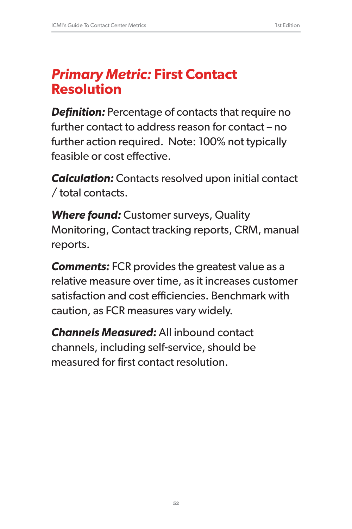## *Primary Metric:* **First Contact Resolution**

**Definition:** Percentage of contacts that require no further contact to address reason for contact – no further action required. Note: 100% not typically feasible or cost effective.

*Calculation:* Contacts resolved upon initial contact / total contacts.

*Where found:* Customer surveys, Quality Monitoring, Contact tracking reports, CRM, manual reports.

*Comments:* FCR provides the greatest value as a relative measure over time, as it increases customer satisfaction and cost efficiencies. Benchmark with caution, as FCR measures vary widely.

*Channels Measured:* All inbound contact channels, including self-service, should be measured for first contact resolution.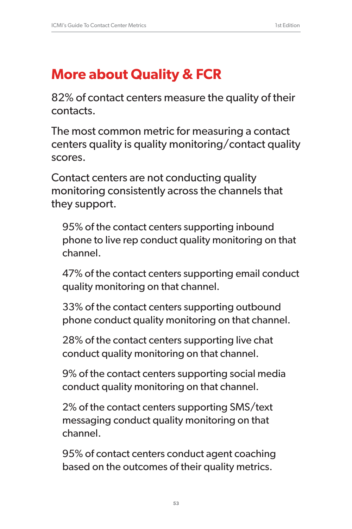## **More about Quality & FCR**

82% of contact centers measure the quality of their contacts.

The most common metric for measuring a contact centers quality is quality monitoring/contact quality scores.

Contact centers are not conducting quality monitoring consistently across the channels that they support.

95% of the contact centers supporting inbound phone to live rep conduct quality monitoring on that channel.

47% of the contact centers supporting email conduct quality monitoring on that channel.

33% of the contact centers supporting outbound phone conduct quality monitoring on that channel.

28% of the contact centers supporting live chat conduct quality monitoring on that channel.

9% of the contact centers supporting social media conduct quality monitoring on that channel.

2% of the contact centers supporting SMS/text messaging conduct quality monitoring on that channel.

95% of contact centers conduct agent coaching based on the outcomes of their quality metrics.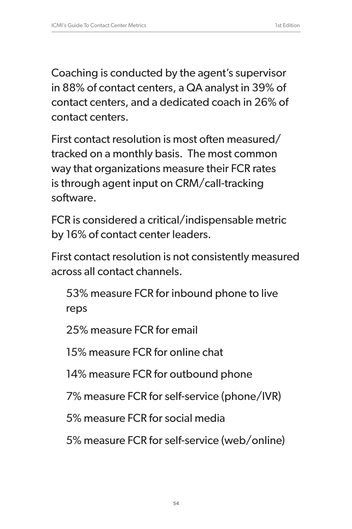Coaching is conducted by the agent's supervisor in 88% of contact centers, a QA analyst in 39% of contact centers, and a dedicated coach in 26% of contact centers.

First contact resolution is most often measured/ tracked on a monthly basis. The most common way that organizations measure their FCR rates is through agent input on CRM/call-tracking software.

FCR is considered a critical/indispensable metric by 16% of contact center leaders.

First contact resolution is not consistently measured across all contact channels.

53% measure FCR for inbound phone to live reps

25% measure FCR for email

15% measure FCR for online chat

14% measure FCR for outbound phone

7% measure FCR for self-service (phone/IVR)

5% measure FCR for social media

5% measure FCR for self-service (web/online)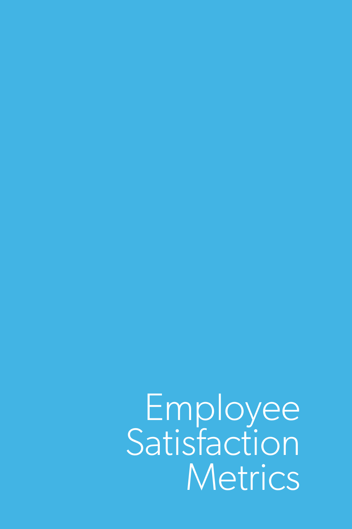Employee Satisfaction **Metrics**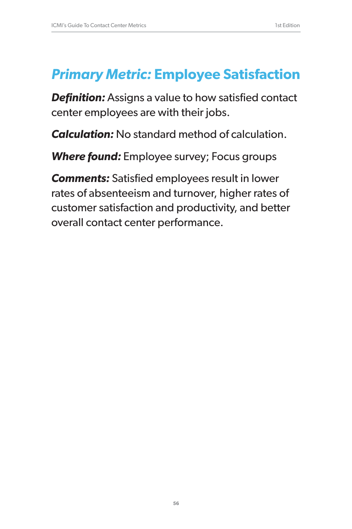## *Primary Metric:* **Employee Satisfaction**

*Definition:* Assigns a value to how satisfied contact center employees are with their jobs.

*Calculation:* No standard method of calculation.

*Where found:* Employee survey; Focus groups

*Comments:* Satisfied employees result in lower rates of absenteeism and turnover, higher rates of customer satisfaction and productivity, and better overall contact center performance.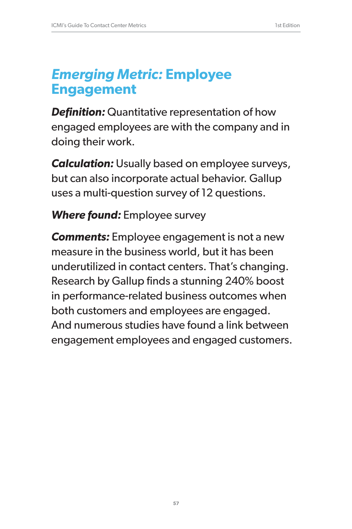## *Emerging Metric:* **Employee Engagement**

*Definition:* Quantitative representation of how engaged employees are with the company and in doing their work.

*Calculation:* Usually based on employee surveys, but can also incorporate actual behavior. Gallup uses a multi-question survey of 12 questions.

### *Where found:* Employee survey

*Comments:* Employee engagement is not a new measure in the business world, but it has been underutilized in contact centers. That's changing. Research by Gallup finds a stunning 240% boost in performance-related business outcomes when both customers and employees are engaged. And numerous studies have found a link between engagement employees and engaged customers.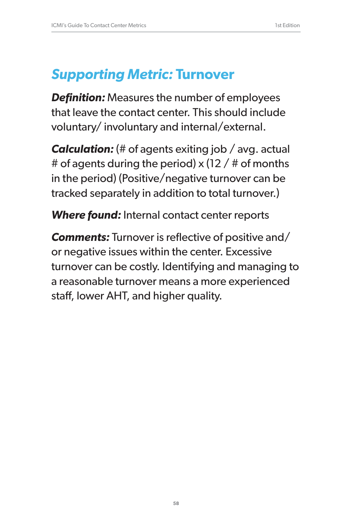## *Supporting Metric:* **Turnover**

*Definition:* Measures the number of employees that leave the contact center. This should include voluntary/ involuntary and internal/external.

*Calculation:* (# of agents exiting job / avg. actual # of agents during the period)  $\times$  (12 / # of months in the period) (Positive/negative turnover can be tracked separately in addition to total turnover.)

*Where found:* Internal contact center reports

*Comments:* Turnover is reflective of positive and/ or negative issues within the center. Excessive turnover can be costly. Identifying and managing to a reasonable turnover means a more experienced staff, lower AHT, and higher quality.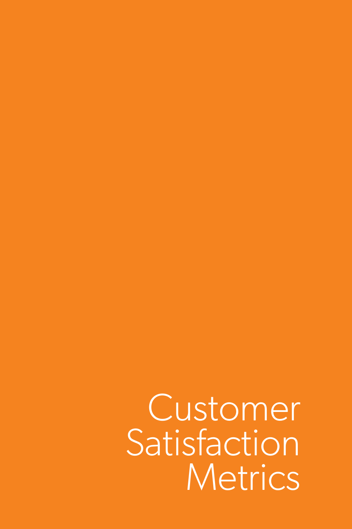Customer **Satisfaction Metrics**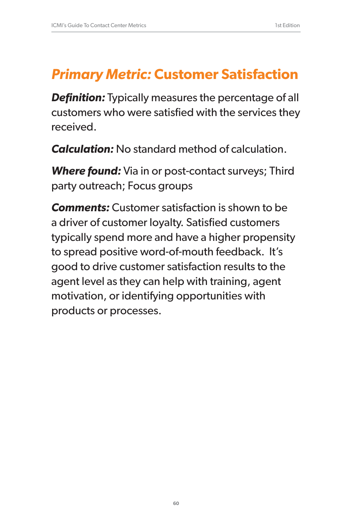# *Primary Metric:* **Customer Satisfaction**

**Definition:** Typically measures the percentage of all customers who were satisfied with the services they received.

*Calculation:* No standard method of calculation.

*Where found:* Via in or post-contact surveys; Third party outreach; Focus groups

*Comments:* Customer satisfaction is shown to be a driver of customer loyalty. Satisfied customers typically spend more and have a higher propensity to spread positive word-of-mouth feedback. It's good to drive customer satisfaction results to the agent level as they can help with training, agent motivation, or identifying opportunities with products or processes.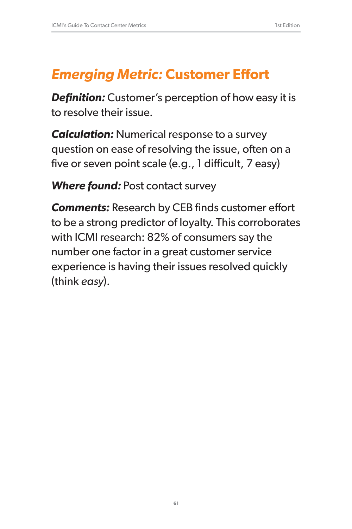# *Emerging Metric:* **Customer Effort**

*Definition:* Customer's perception of how easy it is to resolve their issue.

*Calculation:* Numerical response to a survey question on ease of resolving the issue, often on a five or seven point scale (e.g., 1 difficult, 7 easy)

*Where found:* Post contact survey

*Comments:* Research by CEB finds customer effort to be a strong predictor of loyalty. This corroborates with ICMI research: 82% of consumers say the number one factor in a great customer service experience is having their issues resolved quickly (think *easy*).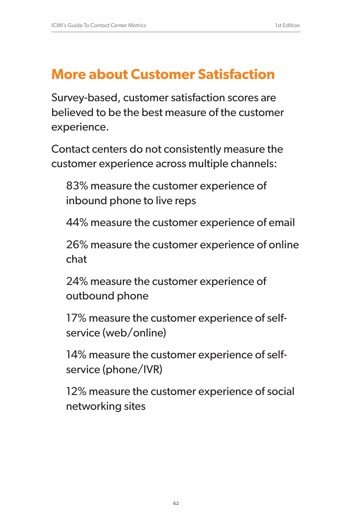## **More about Customer Satisfaction**

Survey-based, customer satisfaction scores are believed to be the best measure of the customer experience.

Contact centers do not consistently measure the customer experience across multiple channels:

83% measure the customer experience of inbound phone to live reps

44% measure the customer experience of email

26% measure the customer experience of online chat

24% measure the customer experience of outbound phone

17% measure the customer experience of selfservice (web/online)

14% measure the customer experience of selfservice (phone/IVR)

12% measure the customer experience of social networking sites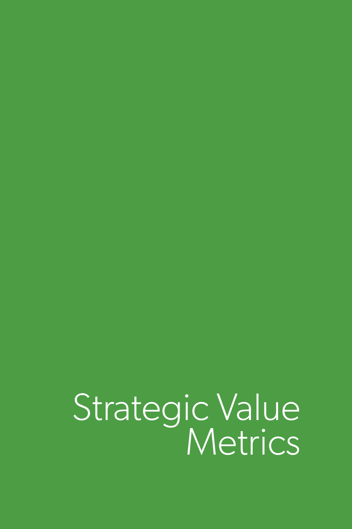Strategic Value Metrics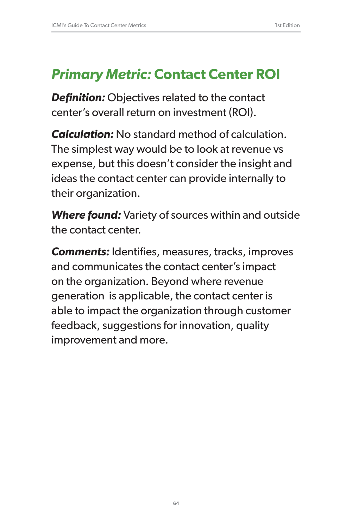## *Primary Metric:* **Contact Center ROI**

*Definition:* Objectives related to the contact center's overall return on investment (ROI).

*Calculation:* No standard method of calculation. The simplest way would be to look at revenue vs expense, but this doesn't consider the insight and ideas the contact center can provide internally to their organization.

*Where found:* Variety of sources within and outside the contact center.

*Comments:* Identifies, measures, tracks, improves and communicates the contact center's impact on the organization. Beyond where revenue generation is applicable, the contact center is able to impact the organization through customer feedback, suggestions for innovation, quality improvement and more.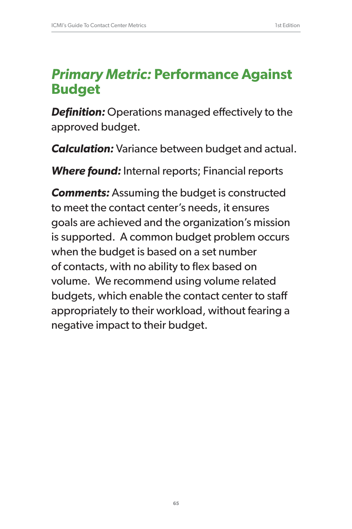## *Primary Metric:* **Performance Against Budget**

*Definition:* Operations managed effectively to the approved budget.

*Calculation:* Variance between budget and actual.

*Where found:* Internal reports; Financial reports

*Comments:* Assuming the budget is constructed to meet the contact center's needs, it ensures goals are achieved and the organization's mission is supported. A common budget problem occurs when the budget is based on a set number of contacts, with no ability to flex based on volume. We recommend using volume related budgets, which enable the contact center to staff appropriately to their workload, without fearing a negative impact to their budget.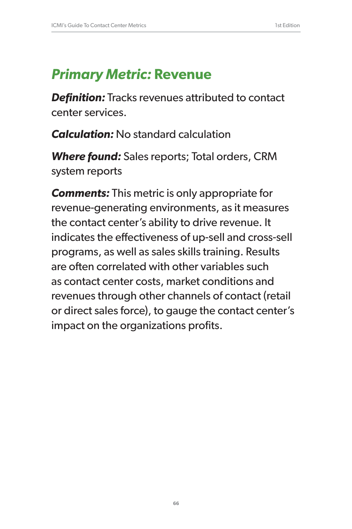# *Primary Metric:* **Revenue**

*Definition:* Tracks revenues attributed to contact center services.

*Calculation:* No standard calculation

*Where found:* Sales reports; Total orders, CRM system reports

*Comments:* This metric is only appropriate for revenue-generating environments, as it measures the contact center's ability to drive revenue. It indicates the effectiveness of up-sell and cross-sell programs, as well as sales skills training. Results are often correlated with other variables such as contact center costs, market conditions and revenues through other channels of contact (retail or direct sales force), to gauge the contact center's impact on the organizations profits.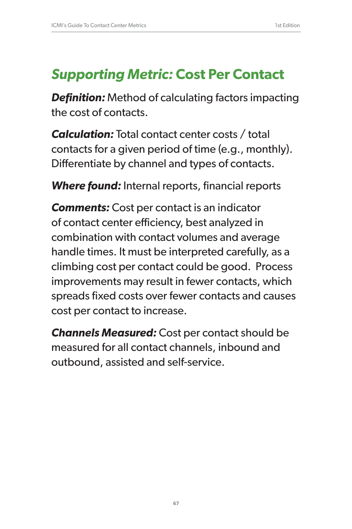## *Supporting Metric:* **Cost Per Contact**

*Definition:* Method of calculating factors impacting the cost of contacts.

*Calculation:* Total contact center costs / total contacts for a given period of time (e.g., monthly). Differentiate by channel and types of contacts.

*Where found:* Internal reports, financial reports

*Comments:* Cost per contact is an indicator of contact center efficiency, best analyzed in combination with contact volumes and average handle times. It must be interpreted carefully, as a climbing cost per contact could be good. Process improvements may result in fewer contacts, which spreads fixed costs over fewer contacts and causes cost per contact to increase.

*Channels Measured:* Cost per contact should be measured for all contact channels, inbound and outbound, assisted and self-service.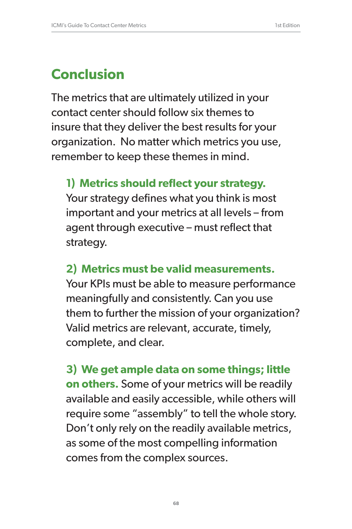# **Conclusion**

The metrics that are ultimately utilized in your contact center should follow six themes to insure that they deliver the best results for your organization. No matter which metrics you use, remember to keep these themes in mind.

#### **1) Metrics should reflect your strategy.**

Your strategy defines what you think is most important and your metrics at all levels – from agent through executive – must reflect that strategy.

#### **2) Metrics must be valid measurements.**

Your KPIs must be able to measure performance meaningfully and consistently. Can you use them to further the mission of your organization? Valid metrics are relevant, accurate, timely, complete, and clear.

**3) We get ample data on some things; little on others.** Some of your metrics will be readily available and easily accessible, while others will require some "assembly" to tell the whole story. Don't only rely on the readily available metrics, as some of the most compelling information comes from the complex sources.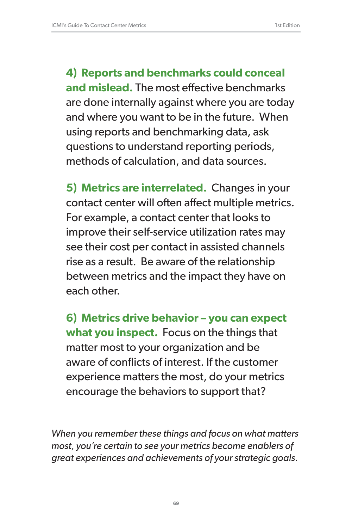**4) Reports and benchmarks could conceal and mislead.** The most effective benchmarks are done internally against where you are today and where you want to be in the future. When using reports and benchmarking data, ask questions to understand reporting periods, methods of calculation, and data sources.

**5) Metrics are interrelated.** Changes in your contact center will often affect multiple metrics. For example, a contact center that looks to improve their self-service utilization rates may see their cost per contact in assisted channels rise as a result. Be aware of the relationship between metrics and the impact they have on each other.

**6) Metrics drive behavior – you can expect what you inspect.** Focus on the things that matter most to your organization and be aware of conflicts of interest. If the customer experience matters the most, do your metrics encourage the behaviors to support that?

*When you remember these things and focus on what matters most, you're certain to see your metrics become enablers of great experiences and achievements of your strategic goals.*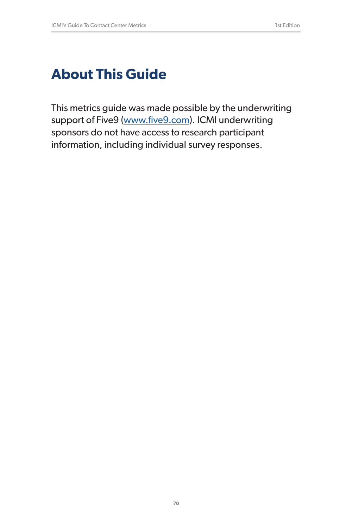# **About This Guide**

This metrics guide was made possible by the underwriting support of Five9 (www.five9.com). ICMI underwriting sponsors do not have access to research participant information, including individual survey responses.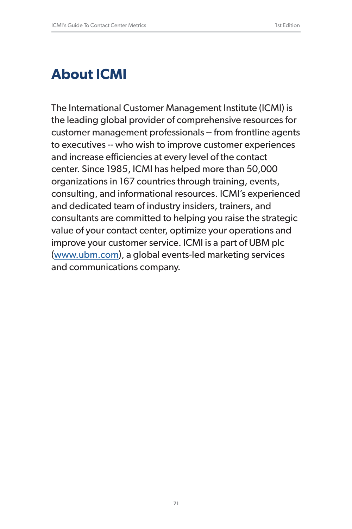# **About ICMI**

The International Customer Management Institute (ICMI) is the leading global provider of comprehensive resources for customer management professionals -- from frontline agents to executives -- who wish to improve customer experiences and increase efficiencies at every level of the contact center. Since 1985, ICMI has helped more than 50,000 organizations in 167 countries through training, events, consulting, and informational resources. ICMI's experienced and dedicated team of industry insiders, trainers, and consultants are committed to helping you raise the strategic value of your contact center, optimize your operations and improve your customer service. ICMI is a part of UBM plc (www.ubm.com), a global events-led marketing services and communications company.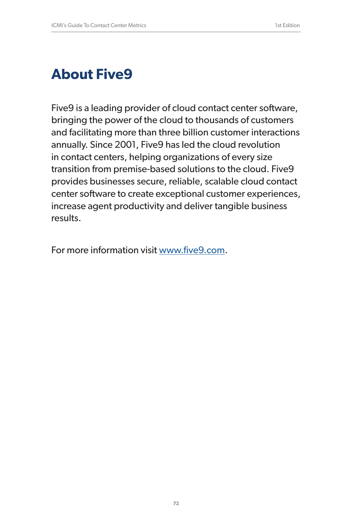# **About Five9**

Five9 is a leading provider of cloud contact center software, bringing the power of the cloud to thousands of customers and facilitating more than three billion customer interactions annually. Since 2001, Five9 has led the cloud revolution in contact centers, helping organizations of every size transition from premise-based solutions to the cloud. Five9 provides businesses secure, reliable, scalable cloud contact center software to create exceptional customer experiences, increase agent productivity and deliver tangible business results.

For more information visit www.five9.com.